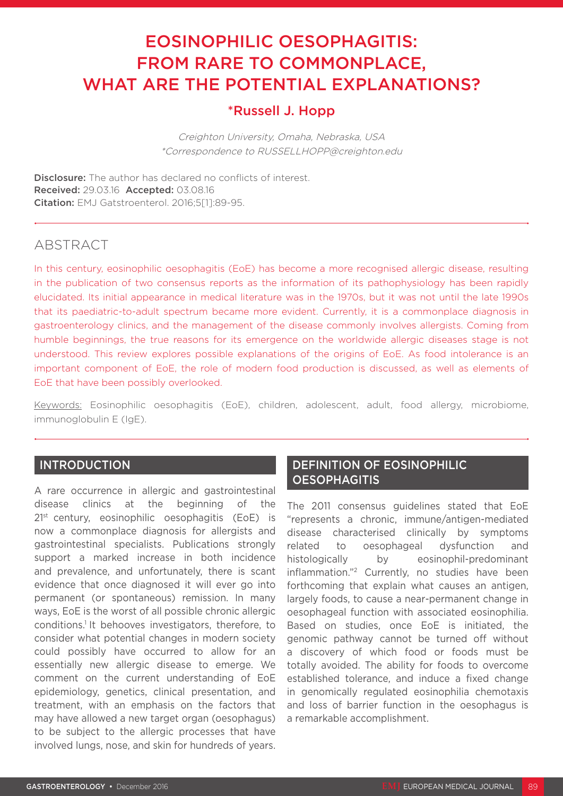# EOSINOPHILIC OESOPHAGITIS: FROM RARE TO COMMONPLACE, WHAT ARE THE POTENTIAL EXPLANATIONS?

### \*Russell J. Hopp

Creighton University, Omaha, Nebraska, USA \*Correspondence to RUSSELLHOPP@creighton.edu

**Disclosure:** The author has declared no conflicts of interest. Received: 29.03.16 Accepted: 03.08.16 Citation: EMJ Gatstroenterol. 2016;5[1]:89-95.

## **ABSTRACT**

In this century, eosinophilic oesophagitis (EoE) has become a more recognised allergic disease, resulting in the publication of two consensus reports as the information of its pathophysiology has been rapidly elucidated. Its initial appearance in medical literature was in the 1970s, but it was not until the late 1990s that its paediatric-to-adult spectrum became more evident. Currently, it is a commonplace diagnosis in gastroenterology clinics, and the management of the disease commonly involves allergists. Coming from humble beginnings, the true reasons for its emergence on the worldwide allergic diseases stage is not understood. This review explores possible explanations of the origins of EoE. As food intolerance is an important component of EoE, the role of modern food production is discussed, as well as elements of EoE that have been possibly overlooked.

Keywords: Eosinophilic oesophagitis (EoE), children, adolescent, adult, food allergy, microbiome, immunoglobulin E (IgE).

#### INTRODUCTION

A rare occurrence in allergic and gastrointestinal disease clinics at the beginning of the 2<sup>1st</sup> century, eosinophilic oesophagitis (EoE) is now a commonplace diagnosis for allergists and gastrointestinal specialists. Publications strongly support a marked increase in both incidence and prevalence, and unfortunately, there is scant evidence that once diagnosed it will ever go into permanent (or spontaneous) remission. In many ways, EoE is the worst of all possible chronic allergic conditions.<sup>1</sup> It behooves investigators, therefore, to consider what potential changes in modern society could possibly have occurred to allow for an essentially new allergic disease to emerge. We comment on the current understanding of EoE epidemiology, genetics, clinical presentation, and treatment, with an emphasis on the factors that may have allowed a new target organ (oesophagus) to be subject to the allergic processes that have involved lungs, nose, and skin for hundreds of years.

#### DEFINITION OF EOSINOPHILIC **OESOPHAGITIS**

The 2011 consensus guidelines stated that EoE "represents a chronic, immune/antigen-mediated disease characterised clinically by symptoms related to oesophageal dysfunction and histologically by eosinophil-predominant inflammation."2 Currently, no studies have been forthcoming that explain what causes an antigen, largely foods, to cause a near-permanent change in oesophageal function with associated eosinophilia. Based on studies, once EoE is initiated, the genomic pathway cannot be turned off without a discovery of which food or foods must be totally avoided. The ability for foods to overcome established tolerance, and induce a fixed change in genomically regulated eosinophilia chemotaxis and loss of barrier function in the oesophagus is a remarkable accomplishment.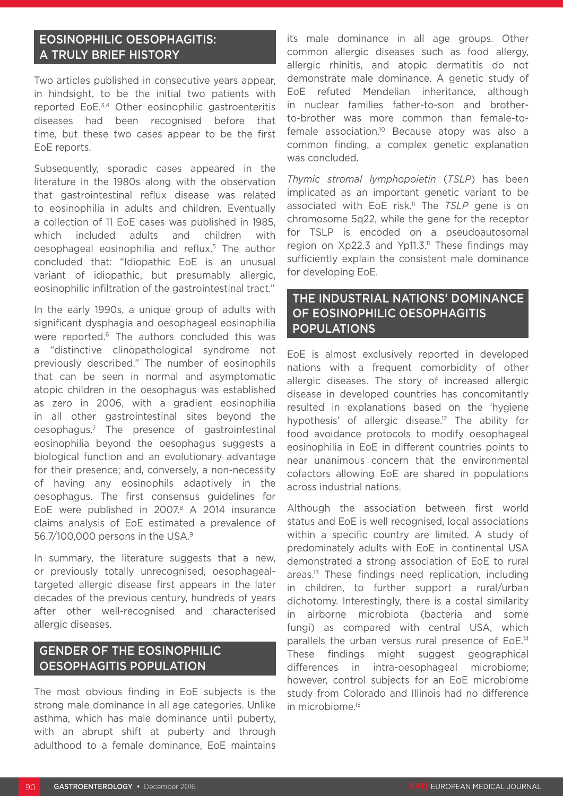### EOSINOPHILIC OESOPHAGITIS: A TRULY BRIEF HISTORY

Two articles published in consecutive years appear, in hindsight, to be the initial two patients with reported EoE.3,4 Other eosinophilic gastroenteritis diseases had been recognised before that time, but these two cases appear to be the first EoE reports.

Subsequently, sporadic cases appeared in the literature in the 1980s along with the observation that gastrointestinal reflux disease was related to eosinophilia in adults and children. Eventually a collection of 11 EoE cases was published in 1985, which included adults and children with oesophageal eosinophilia and reflux.5 The author concluded that: "Idiopathic EoE is an unusual variant of idiopathic, but presumably allergic, eosinophilic infiltration of the gastrointestinal tract."

In the early 1990s, a unique group of adults with significant dysphagia and oesophageal eosinophilia were reported.<sup>6</sup> The authors concluded this was a "distinctive clinopathological syndrome not previously described." The number of eosinophils that can be seen in normal and asymptomatic atopic children in the oesophagus was established as zero in 2006, with a gradient eosinophilia in all other gastrointestinal sites beyond the oesophagus.7 The presence of gastrointestinal eosinophilia beyond the oesophagus suggests a biological function and an evolutionary advantage for their presence; and, conversely, a non-necessity of having any eosinophils adaptively in the oesophagus. The first consensus guidelines for EoE were published in 2007.8 A 2014 insurance claims analysis of EoE estimated a prevalence of 56.7/100,000 persons in the USA.9

In summary, the literature suggests that a new, or previously totally unrecognised, oesophagealtargeted allergic disease first appears in the later decades of the previous century, hundreds of years after other well-recognised and characterised allergic diseases.

### GENDER OF THE EOSINOPHILIC OESOPHAGITIS POPULATION

The most obvious finding in EoE subjects is the strong male dominance in all age categories. Unlike asthma, which has male dominance until puberty, with an abrupt shift at puberty and through adulthood to a female dominance, EoE maintains

its male dominance in all age groups. Other common allergic diseases such as food allergy, allergic rhinitis, and atopic dermatitis do not demonstrate male dominance. A genetic study of EoE refuted Mendelian inheritance, although in nuclear families father-to-son and brotherto-brother was more common than female-tofemale association.10 Because atopy was also a common finding, a complex genetic explanation was concluded.

*Thymic stromal lymphopoietin* (*TSLP*) has been implicated as an important genetic variant to be associated with EoE risk.11 The *TSLP* gene is on chromosome 5q22, while the gene for the receptor for TSLP is encoded on a pseudoautosomal region on  $Xp22.3$  and  $Yp11.3$ .<sup>11</sup> These findings may sufficiently explain the consistent male dominance for developing EoE.

### THE INDUSTRIAL NATIONS' DOMINANCE OF EOSINOPHILIC OESOPHAGITIS **POPULATIONS**

EoE is almost exclusively reported in developed nations with a frequent comorbidity of other allergic diseases. The story of increased allergic disease in developed countries has concomitantly resulted in explanations based on the 'hygiene hypothesis' of allergic disease.<sup>12</sup> The ability for food avoidance protocols to modify oesophageal eosinophilia in EoE in different countries points to near unanimous concern that the environmental cofactors allowing EoE are shared in populations across industrial nations.

Although the association between first world status and EoE is well recognised, local associations within a specific country are limited. A study of predominately adults with EoE in continental USA demonstrated a strong association of EoE to rural areas.13 These findings need replication, including in children, to further support a rural/urban dichotomy. Interestingly, there is a costal similarity in airborne microbiota (bacteria and some fungi) as compared with central USA, which parallels the urban versus rural presence of EoE.<sup>14</sup> These findings might suggest geographical differences in intra-oesophageal microbiome; however, control subjects for an EoE microbiome study from Colorado and Illinois had no difference in microbiome.15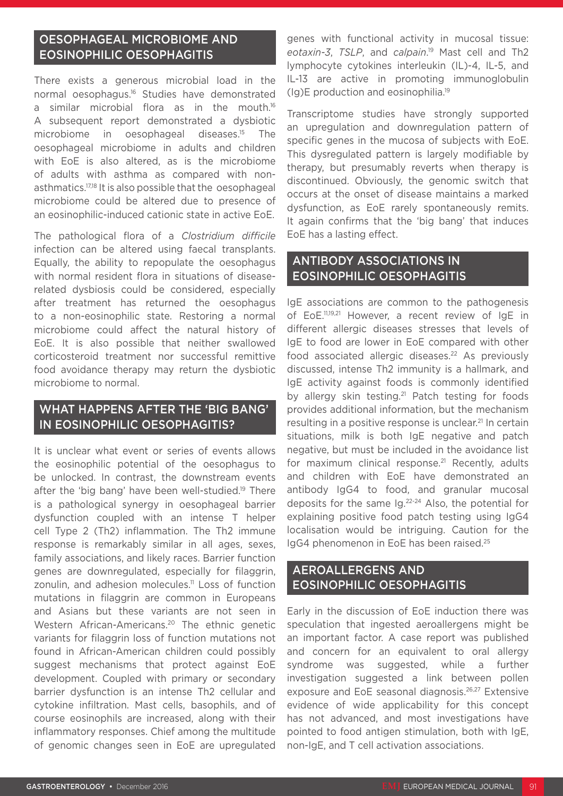### OESOPHAGEAL MICROBIOME AND EOSINOPHILIC OESOPHAGITIS

There exists a generous microbial load in the normal oesophagus.16 Studies have demonstrated a similar microbial flora as in the mouth.<sup>16</sup> A subsequent report demonstrated a dysbiotic microbiome in oesophageal diseases.15 The oesophageal microbiome in adults and children with EoE is also altered, as is the microbiome of adults with asthma as compared with nonasthmatics.17,18 It is also possible that the oesophageal microbiome could be altered due to presence of an eosinophilic-induced cationic state in active EoE.

The pathological flora of a *Clostridium difficile*  infection can be altered using faecal transplants. Equally, the ability to repopulate the oesophagus with normal resident flora in situations of diseaserelated dysbiosis could be considered, especially after treatment has returned the oesophagus to a non-eosinophilic state. Restoring a normal microbiome could affect the natural history of EoE. It is also possible that neither swallowed corticosteroid treatment nor successful remittive food avoidance therapy may return the dysbiotic microbiome to normal.

### WHAT HAPPENS AFTER THE 'BIG BANG' IN EOSINOPHILIC OESOPHAGITIS?

It is unclear what event or series of events allows the eosinophilic potential of the oesophagus to be unlocked. In contrast, the downstream events after the 'big bang' have been well-studied.19 There is a pathological synergy in oesophageal barrier dysfunction coupled with an intense T helper cell Type 2 (Th2) inflammation. The Th2 immune response is remarkably similar in all ages, sexes, family associations, and likely races. Barrier function genes are downregulated, especially for filaggrin, zonulin, and adhesion molecules.<sup>11</sup> Loss of function mutations in filaggrin are common in Europeans and Asians but these variants are not seen in Western African-Americans.20 The ethnic genetic variants for filaggrin loss of function mutations not found in African-American children could possibly suggest mechanisms that protect against EoE development. Coupled with primary or secondary barrier dysfunction is an intense Th2 cellular and cytokine infiltration. Mast cells, basophils, and of course eosinophils are increased, along with their inflammatory responses. Chief among the multitude of genomic changes seen in EoE are upregulated

genes with functional activity in mucosal tissue: *eotaxin-3*, *TSLP*, and *calpain*. 19 Mast cell and Th2 lymphocyte cytokines interleukin (IL)-4, IL-5, and IL-13 are active in promoting immunoglobulin (Ig)E production and eosinophilia.19

Transcriptome studies have strongly supported an upregulation and downregulation pattern of specific genes in the mucosa of subjects with EoE. This dysregulated pattern is largely modifiable by therapy, but presumably reverts when therapy is discontinued. Obviously, the genomic switch that occurs at the onset of disease maintains a marked dysfunction, as EoE rarely spontaneously remits. It again confirms that the 'big bang' that induces EoE has a lasting effect.

### ANTIBODY ASSOCIATIONS IN EOSINOPHILIC OESOPHAGITIS

IgE associations are common to the pathogenesis of EoE.11,19,21 However, a recent review of IgE in different allergic diseases stresses that levels of IgE to food are lower in EoE compared with other food associated allergic diseases.<sup>22</sup> As previously discussed, intense Th2 immunity is a hallmark, and IgE activity against foods is commonly identified by allergy skin testing.<sup>21</sup> Patch testing for foods provides additional information, but the mechanism resulting in a positive response is unclear.<sup>21</sup> In certain situations, milk is both IgE negative and patch negative, but must be included in the avoidance list for maximum clinical response.<sup>21</sup> Recently, adults and children with EoE have demonstrated an antibody IgG4 to food, and granular mucosal deposits for the same Ig.22-24 Also, the potential for explaining positive food patch testing using IgG4 localisation would be intriguing. Caution for the IgG4 phenomenon in EoE has been raised.25

#### AEROALLERGENS AND EOSINOPHILIC OESOPHAGITIS

Early in the discussion of EoE induction there was speculation that ingested aeroallergens might be an important factor. A case report was published and concern for an equivalent to oral allergy syndrome was suggested, while a further investigation suggested a link between pollen exposure and EoE seasonal diagnosis.<sup>26,27</sup> Extensive evidence of wide applicability for this concept has not advanced, and most investigations have pointed to food antigen stimulation, both with IgE, non-IgE, and T cell activation associations.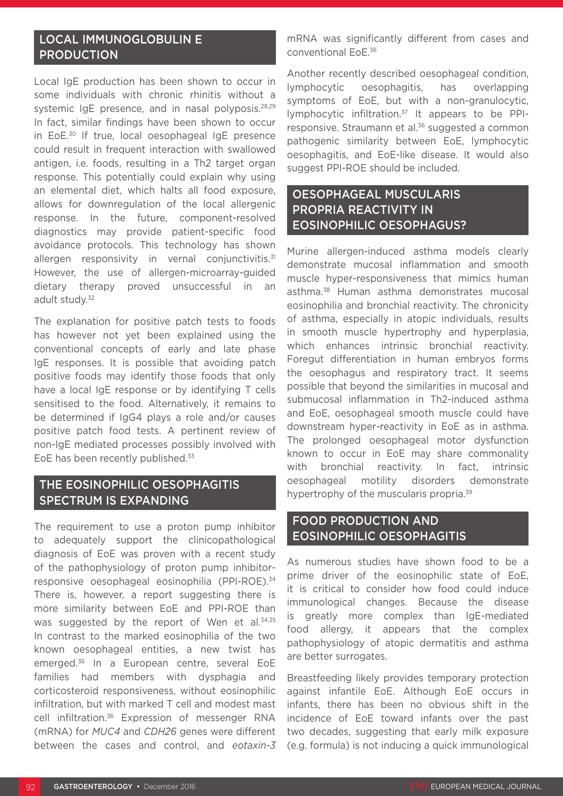### LOCAL IMMUNOGLOBULIN E **PRODUCTION**

Local IgE production has been shown to occur in some individuals with chronic rhinitis without a systemic IgE presence, and in nasal polyposis.<sup>28,29</sup> In fact, similar findings have been shown to occur in EoE.30 If true, local oesophageal IgE presence could result in frequent interaction with swallowed antigen, i.e. foods, resulting in a Th2 target organ response. This potentially could explain why using an elemental diet, which halts all food exposure, allows for downregulation of the local allergenic response. In the future, component-resolved diagnostics may provide patient-specific food avoidance protocols. This technology has shown allergen responsivity in vernal conjunctivitis.<sup>31</sup> However, the use of allergen-microarray-guided dietary therapy proved unsuccessful in an adult study.<sup>32</sup>

The explanation for positive patch tests to foods has however not yet been explained using the conventional concepts of early and late phase IgE responses. It is possible that avoiding patch positive foods may identify those foods that only have a local IgE response or by identifying T cells sensitised to the food. Alternatively, it remains to be determined if IgG4 plays a role and/or causes positive patch food tests. A pertinent review of non-IgE mediated processes possibly involved with EoE has been recently published.<sup>33</sup>

### THE EOSINOPHILIC OESOPHAGITIS SPECTRUM IS EXPANDING

The requirement to use a proton pump inhibitor to adequately support the clinicopathological diagnosis of EoE was proven with a recent study of the pathophysiology of proton pump inhibitorresponsive oesophageal eosinophilia (PPI-ROE).34 There is, however, a report suggesting there is more similarity between EoE and PPI-ROE than was suggested by the report of Wen et al.<sup>34,35</sup> In contrast to the marked eosinophilia of the two known oesophageal entities, a new twist has emerged.36 In a European centre, several EoE families had members with dysphagia and corticosteroid responsiveness, without eosinophilic infiltration, but with marked T cell and modest mast cell infiltration.<sup>36</sup> Expression of messenger RNA (mRNA) for *MUC4* and *CDH26* genes were different between the cases and control, and *eotaxin-3*

mRNA was significantly different from cases and conventional EoE.36

Another recently described oesophageal condition, lymphocytic oesophagitis, has overlapping symptoms of EoE, but with a non-granulocytic, lymphocytic infiltration.<sup>37</sup> It appears to be PPIresponsive. Straumann et al.<sup>36</sup> suggested a common pathogenic similarity between EoE, lymphocytic oesophagitis, and EoE-like disease. It would also suggest PPI-ROE should be included.

#### OESOPHAGEAL MUSCULARIS PROPRIA REACTIVITY IN EOSINOPHILIC OESOPHAGUS?

Murine allergen-induced asthma models clearly demonstrate mucosal inflammation and smooth muscle hyper-responsiveness that mimics human asthma.38 Human asthma demonstrates mucosal eosinophilia and bronchial reactivity. The chronicity of asthma, especially in atopic individuals, results in smooth muscle hypertrophy and hyperplasia, which enhances intrinsic bronchial reactivity. Foregut differentiation in human embryos forms the oesophagus and respiratory tract. It seems possible that beyond the similarities in mucosal and submucosal inflammation in Th2-induced asthma and EoE, oesophageal smooth muscle could have downstream hyper-reactivity in EoE as in asthma. The prolonged oesophageal motor dysfunction known to occur in EoE may share commonality with bronchial reactivity. In fact, intrinsic oesophageal motility disorders demonstrate hypertrophy of the muscularis propria.<sup>39</sup>

#### FOOD PRODUCTION AND EOSINOPHILIC OESOPHAGITIS

As numerous studies have shown food to be a prime driver of the eosinophilic state of EoE, it is critical to consider how food could induce immunological changes. Because the disease is greatly more complex than IgE-mediated food allergy, it appears that the complex pathophysiology of atopic dermatitis and asthma are better surrogates.

Breastfeeding likely provides temporary protection against infantile EoE. Although EoE occurs in infants, there has been no obvious shift in the incidence of EoE toward infants over the past two decades, suggesting that early milk exposure (e.g. formula) is not inducing a quick immunological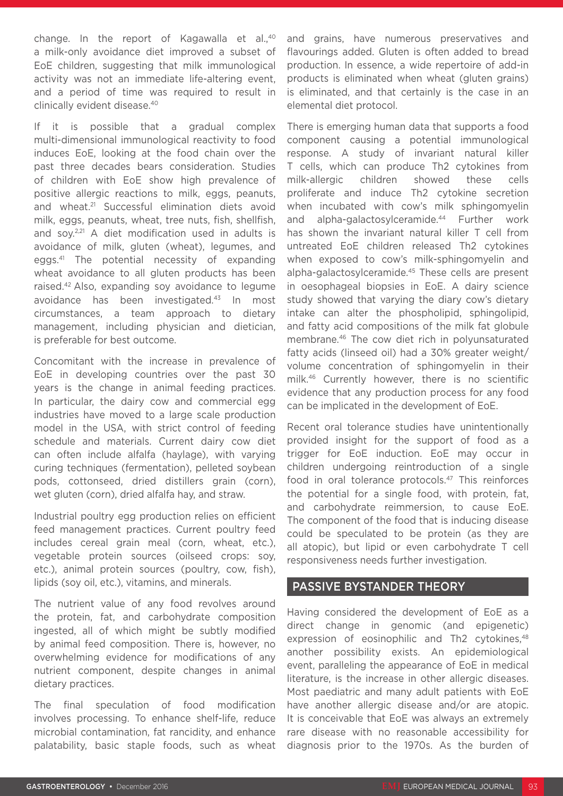change. In the report of Kagawalla et al.,<sup>40</sup> a milk-only avoidance diet improved a subset of EoE children, suggesting that milk immunological activity was not an immediate life-altering event, and a period of time was required to result in clinically evident disease.40

If it is possible that a gradual complex multi-dimensional immunological reactivity to food induces EoE, looking at the food chain over the past three decades bears consideration. Studies of children with EoE show high prevalence of positive allergic reactions to milk, eggs, peanuts, and wheat.21 Successful elimination diets avoid milk, eggs, peanuts, wheat, tree nuts, fish, shellfish, and soy.<sup>2,21</sup> A diet modification used in adults is avoidance of milk, gluten (wheat), legumes, and eggs.41 The potential necessity of expanding wheat avoidance to all gluten products has been raised.42 Also, expanding soy avoidance to legume avoidance has been investigated.<sup>43</sup> In most circumstances, a team approach to dietary management, including physician and dietician, is preferable for best outcome.

Concomitant with the increase in prevalence of EoE in developing countries over the past 30 years is the change in animal feeding practices. In particular, the dairy cow and commercial egg industries have moved to a large scale production model in the USA, with strict control of feeding schedule and materials. Current dairy cow diet can often include alfalfa (haylage), with varying curing techniques (fermentation), pelleted soybean pods, cottonseed, dried distillers grain (corn), wet gluten (corn), dried alfalfa hay, and straw.

Industrial poultry egg production relies on efficient feed management practices. Current poultry feed includes cereal grain meal (corn, wheat, etc.), vegetable protein sources (oilseed crops: soy, etc.), animal protein sources (poultry, cow, fish), lipids (soy oil, etc.), vitamins, and minerals.

The nutrient value of any food revolves around the protein, fat, and carbohydrate composition ingested, all of which might be subtly modified by animal feed composition. There is, however, no overwhelming evidence for modifications of any nutrient component, despite changes in animal dietary practices.

The final speculation of food modification involves processing. To enhance shelf-life, reduce microbial contamination, fat rancidity, and enhance palatability, basic staple foods, such as wheat and grains, have numerous preservatives and flavourings added. Gluten is often added to bread production. In essence, a wide repertoire of add-in products is eliminated when wheat (gluten grains) is eliminated, and that certainly is the case in an elemental diet protocol.

There is emerging human data that supports a food component causing a potential immunological response. A study of invariant natural killer T cells, which can produce Th2 cytokines from milk-allergic children showed these cells proliferate and induce Th2 cytokine secretion when incubated with cow's milk sphingomyelin and alpha-galactosylceramide.<sup>44</sup> Further work has shown the invariant natural killer T cell from untreated EoE children released Th2 cytokines when exposed to cow's milk-sphingomyelin and alpha-galactosylceramide.45 These cells are present in oesophageal biopsies in EoE. A dairy science study showed that varying the diary cow's dietary intake can alter the phospholipid, sphingolipid, and fatty acid compositions of the milk fat globule membrane.46 The cow diet rich in polyunsaturated fatty acids (linseed oil) had a 30% greater weight/ volume concentration of sphingomyelin in their milk.46 Currently however, there is no scientific evidence that any production process for any food can be implicated in the development of EoE.

Recent oral tolerance studies have unintentionally provided insight for the support of food as a trigger for EoE induction. EoE may occur in children undergoing reintroduction of a single food in oral tolerance protocols.<sup>47</sup> This reinforces the potential for a single food, with protein, fat, and carbohydrate reimmersion, to cause EoE. The component of the food that is inducing disease could be speculated to be protein (as they are all atopic), but lipid or even carbohydrate T cell responsiveness needs further investigation.

#### PASSIVE BYSTANDER THEORY

Having considered the development of EoE as a direct change in genomic (and epigenetic) expression of eosinophilic and Th<sub>2</sub> cytokines.<sup>48</sup> another possibility exists. An epidemiological event, paralleling the appearance of EoE in medical literature, is the increase in other allergic diseases. Most paediatric and many adult patients with EoE have another allergic disease and/or are atopic. It is conceivable that EoE was always an extremely rare disease with no reasonable accessibility for diagnosis prior to the 1970s. As the burden of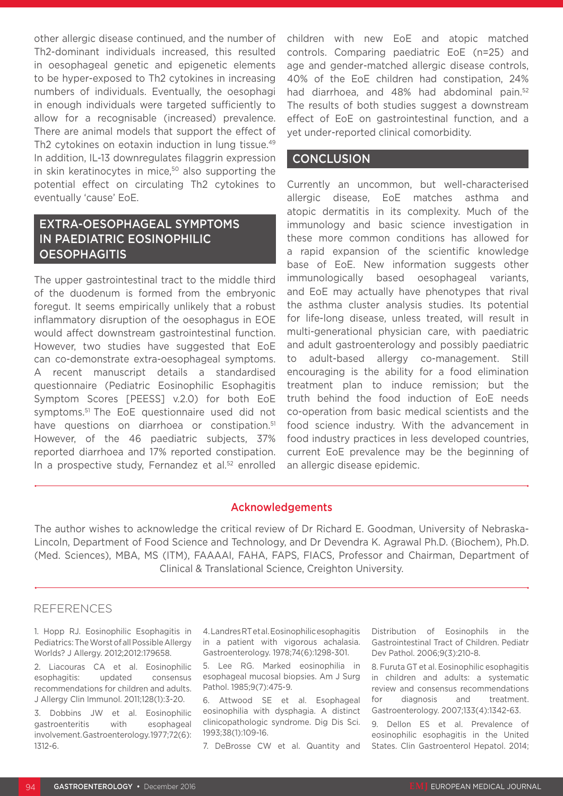other allergic disease continued, and the number of Th2-dominant individuals increased, this resulted in oesophageal genetic and epigenetic elements to be hyper-exposed to Th2 cytokines in increasing numbers of individuals. Eventually, the oesophagi in enough individuals were targeted sufficiently to allow for a recognisable (increased) prevalence. There are animal models that support the effect of Th2 cytokines on eotaxin induction in lung tissue.<sup>49</sup> In addition, IL-13 downregulates filaggrin expression in skin keratinocytes in mice, $50$  also supporting the potential effect on circulating Th2 cytokines to eventually 'cause' EoE.

### EXTRA-OESOPHAGEAL SYMPTOMS IN PAEDIATRIC EOSINOPHILIC **OESOPHAGITIS**

The upper gastrointestinal tract to the middle third of the duodenum is formed from the embryonic foregut. It seems empirically unlikely that a robust inflammatory disruption of the oesophagus in EOE would affect downstream gastrointestinal function. However, two studies have suggested that EoE can co-demonstrate extra-oesophageal symptoms. A recent manuscript details a standardised questionnaire (Pediatric Eosinophilic Esophagitis Symptom Scores [PEESS] v.2.0) for both EoE symptoms.51 The EoE questionnaire used did not have questions on diarrhoea or constipation.<sup>51</sup> However, of the 46 paediatric subjects, 37% reported diarrhoea and 17% reported constipation. In a prospective study, Fernandez et al.<sup>52</sup> enrolled

children with new EoE and atopic matched controls. Comparing paediatric EoE (n=25) and age and gender-matched allergic disease controls, 40% of the EoE children had constipation, 24% had diarrhoea, and 48% had abdominal pain.<sup>52</sup> The results of both studies suggest a downstream effect of EoE on gastrointestinal function, and a yet under-reported clinical comorbidity.

#### **CONCLUSION**

Currently an uncommon, but well-characterised allergic disease, EoE matches asthma and atopic dermatitis in its complexity. Much of the immunology and basic science investigation in these more common conditions has allowed for a rapid expansion of the scientific knowledge base of EoE. New information suggests other immunologically based oesophageal variants, and EoE may actually have phenotypes that rival the asthma cluster analysis studies. Its potential for life-long disease, unless treated, will result in multi-generational physician care, with paediatric and adult gastroenterology and possibly paediatric to adult-based allergy co-management. Still encouraging is the ability for a food elimination treatment plan to induce remission; but the truth behind the food induction of EoE needs co-operation from basic medical scientists and the food science industry. With the advancement in food industry practices in less developed countries, current EoE prevalence may be the beginning of an allergic disease epidemic.

#### Acknowledgements

The author wishes to acknowledge the critical review of Dr Richard E. Goodman, University of Nebraska-Lincoln, Department of Food Science and Technology, and Dr Devendra K. Agrawal Ph.D. (Biochem), Ph.D. (Med. Sciences), MBA, MS (ITM), FAAAAI, FAHA, FAPS, FIACS, Professor and Chairman, Department of Clinical & Translational Science, Creighton University.

#### REFERENCES

1. Hopp RJ. Eosinophilic Esophagitis in Pediatrics: The Worst of all Possible Allergy Worlds? J Allergy. 2012;2012:179658.

2. Liacouras CA et al. Eosinophilic esophagitis: updated consensus recommendations for children and adults. J Allergy Clin Immunol. 2011;128(1):3-20.

3. Dobbins JW et al. Eosinophilic gastroenteritis with esophageal involvement. Gastroenterology. 1977;72(6): 1312-6.

4. Landres RT et al. Eosinophilic esophagitis in a patient with vigorous achalasia. Gastroenterology. 1978;74(6):1298-301.

5. Lee RG. Marked eosinophilia in esophageal mucosal biopsies. Am J Surg Pathol. 1985;9(7):475-9.

6. Attwood SE et al. Esophageal eosinophilia with dysphagia. A distinct clinicopathologic syndrome. Dig Dis Sci. 1993;38(1):109-16.

7. DeBrosse CW et al. Quantity and

Distribution of Eosinophils in the Gastrointestinal Tract of Children. Pediatr Dev Pathol. 2006;9(3):210-8.

8. Furuta GT et al. Eosinophilic esophagitis in children and adults: a systematic review and consensus recommendations for diagnosis and treatment. Gastroenterology. 2007;133(4):1342-63.

9. Dellon ES et al. Prevalence of eosinophilic esophagitis in the United States. Clin Gastroenterol Hepatol. 2014;